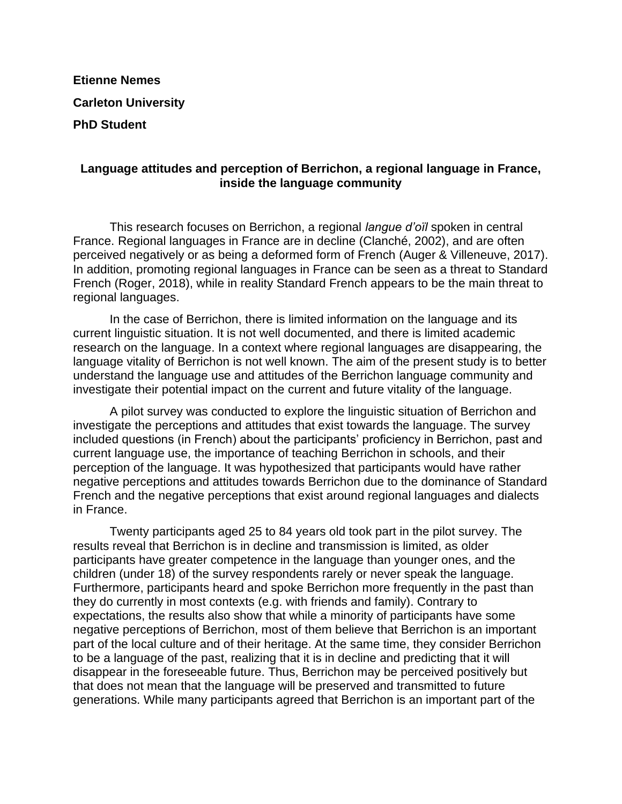## **Etienne Nemes Carleton University PhD Student**

## **Language attitudes and perception of Berrichon, a regional language in France, inside the language community**

This research focuses on Berrichon, a regional *langue d'oïl* spoken in central France. Regional languages in France are in decline (Clanché, 2002), and are often perceived negatively or as being a deformed form of French (Auger & Villeneuve, 2017). In addition, promoting regional languages in France can be seen as a threat to Standard French (Roger, 2018), while in reality Standard French appears to be the main threat to regional languages.

In the case of Berrichon, there is limited information on the language and its current linguistic situation. It is not well documented, and there is limited academic research on the language. In a context where regional languages are disappearing, the language vitality of Berrichon is not well known. The aim of the present study is to better understand the language use and attitudes of the Berrichon language community and investigate their potential impact on the current and future vitality of the language.

A pilot survey was conducted to explore the linguistic situation of Berrichon and investigate the perceptions and attitudes that exist towards the language. The survey included questions (in French) about the participants' proficiency in Berrichon, past and current language use, the importance of teaching Berrichon in schools, and their perception of the language. It was hypothesized that participants would have rather negative perceptions and attitudes towards Berrichon due to the dominance of Standard French and the negative perceptions that exist around regional languages and dialects in France.

Twenty participants aged 25 to 84 years old took part in the pilot survey. The results reveal that Berrichon is in decline and transmission is limited, as older participants have greater competence in the language than younger ones, and the children (under 18) of the survey respondents rarely or never speak the language. Furthermore, participants heard and spoke Berrichon more frequently in the past than they do currently in most contexts (e.g. with friends and family). Contrary to expectations, the results also show that while a minority of participants have some negative perceptions of Berrichon, most of them believe that Berrichon is an important part of the local culture and of their heritage. At the same time, they consider Berrichon to be a language of the past, realizing that it is in decline and predicting that it will disappear in the foreseeable future. Thus, Berrichon may be perceived positively but that does not mean that the language will be preserved and transmitted to future generations. While many participants agreed that Berrichon is an important part of the